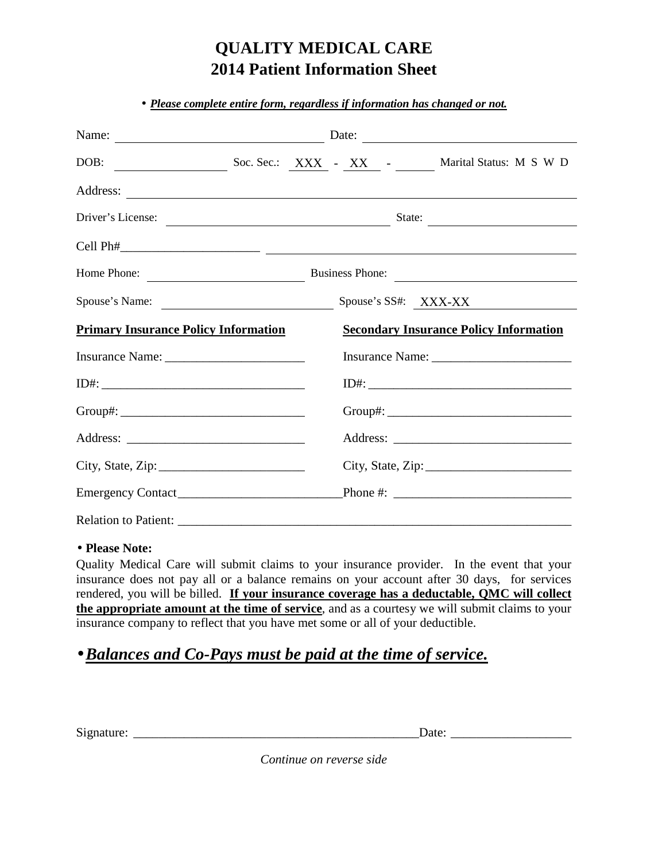# **QUALITY MEDICAL CARE 2014 Patient Information Sheet**

|                                             |  | Name: Date: Date: Date:                                 |
|---------------------------------------------|--|---------------------------------------------------------|
|                                             |  | DOB: Soc. Sec.: XXX - XX - XX - Marital Status: M S W D |
|                                             |  |                                                         |
| Driver's License:                           |  | State:                                                  |
|                                             |  |                                                         |
| Home Phone:                                 |  | Business Phone:                                         |
| Spouse's Name:                              |  | Spouse's SS#: XXX-XX                                    |
| <b>Primary Insurance Policy Information</b> |  | <b>Secondary Insurance Policy Information</b>           |
|                                             |  |                                                         |
|                                             |  |                                                         |
|                                             |  |                                                         |
|                                             |  |                                                         |
| City, State, Zip: $\frac{2}{1}$             |  | City, State, Zip: $\frac{2}{1}$                         |
|                                             |  |                                                         |
|                                             |  |                                                         |

#### • **Please Note:**

Quality Medical Care will submit claims to your insurance provider. In the event that your insurance does not pay all or a balance remains on your account after 30 days, for services rendered, you will be billed. **If your insurance coverage has a deductable, QMC will collect the appropriate amount at the time of service**, and as a courtesy we will submit claims to your insurance company to reflect that you have met some or all of your deductible.

## •*Balances and Co-Pays must be paid at the time of service.*

Aimet and the signature of the state of  $\Gamma$  and  $\Gamma$  are:  $\Gamma$  and  $\Gamma$  are:  $\Gamma$  and  $\Gamma$  are:  $\Gamma$  and  $\Gamma$  are  $\Gamma$  and  $\Gamma$  are  $\Gamma$  and  $\Gamma$  are  $\Gamma$  and  $\Gamma$  are  $\Gamma$  and  $\Gamma$  are  $\Gamma$  and  $\Gamma$  are  $\Gamma$  and  $\Gamma$  are

*Continue on reverse side*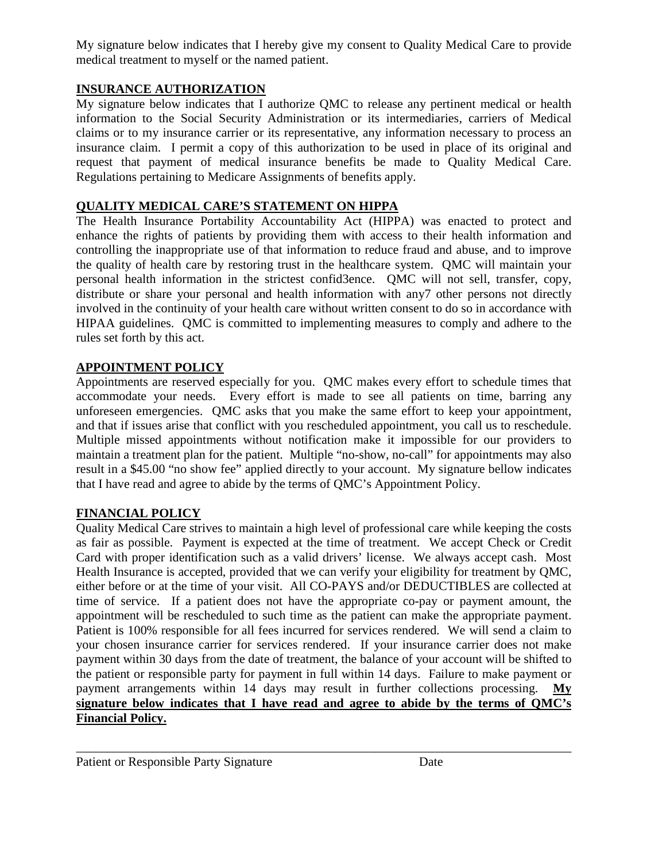My signature below indicates that I hereby give my consent to Quality Medical Care to provide medical treatment to myself or the named patient.

#### **INSURANCE AUTHORIZATION**

My signature below indicates that I authorize QMC to release any pertinent medical or health information to the Social Security Administration or its intermediaries, carriers of Medical claims or to my insurance carrier or its representative, any information necessary to process an insurance claim. I permit a copy of this authorization to be used in place of its original and request that payment of medical insurance benefits be made to Quality Medical Care. Regulations pertaining to Medicare Assignments of benefits apply.

#### **QUALITY MEDICAL CARE'S STATEMENT ON HIPPA**

The Health Insurance Portability Accountability Act (HIPPA) was enacted to protect and enhance the rights of patients by providing them with access to their health information and controlling the inappropriate use of that information to reduce fraud and abuse, and to improve the quality of health care by restoring trust in the healthcare system. QMC will maintain your personal health information in the strictest confid3ence. QMC will not sell, transfer, copy, distribute or share your personal and health information with any7 other persons not directly involved in the continuity of your health care without written consent to do so in accordance with HIPAA guidelines. QMC is committed to implementing measures to comply and adhere to the rules set forth by this act.

#### **APPOINTMENT POLICY**

Appointments are reserved especially for you. QMC makes every effort to schedule times that accommodate your needs. Every effort is made to see all patients on time, barring any unforeseen emergencies. QMC asks that you make the same effort to keep your appointment, and that if issues arise that conflict with you rescheduled appointment, you call us to reschedule. Multiple missed appointments without notification make it impossible for our providers to maintain a treatment plan for the patient. Multiple "no-show, no-call" for appointments may also result in a \$45.00 "no show fee" applied directly to your account. My signature bellow indicates that I have read and agree to abide by the terms of QMC's Appointment Policy.

#### **FINANCIAL POLICY**

Quality Medical Care strives to maintain a high level of professional care while keeping the costs as fair as possible. Payment is expected at the time of treatment. We accept Check or Credit Card with proper identification such as a valid drivers' license. We always accept cash. Most Health Insurance is accepted, provided that we can verify your eligibility for treatment by QMC, either before or at the time of your visit. All CO-PAYS and/or DEDUCTIBLES are collected at time of service. If a patient does not have the appropriate co-pay or payment amount, the appointment will be rescheduled to such time as the patient can make the appropriate payment. Patient is 100% responsible for all fees incurred for services rendered. We will send a claim to your chosen insurance carrier for services rendered. If your insurance carrier does not make payment within 30 days from the date of treatment, the balance of your account will be shifted to the patient or responsible party for payment in full within 14 days. Failure to make payment or payment arrangements within 14 days may result in further collections processing. **My signature below indicates that I have read and agree to abide by the terms of QMC's Financial Policy.**

\_\_\_\_\_\_\_\_\_\_\_\_\_\_\_\_\_\_\_\_\_\_\_\_\_\_\_\_\_\_\_\_\_\_\_\_\_\_\_\_\_\_\_\_\_\_\_\_\_\_\_\_\_\_\_\_\_\_\_\_\_\_\_\_\_\_\_\_\_\_\_\_\_\_\_\_\_\_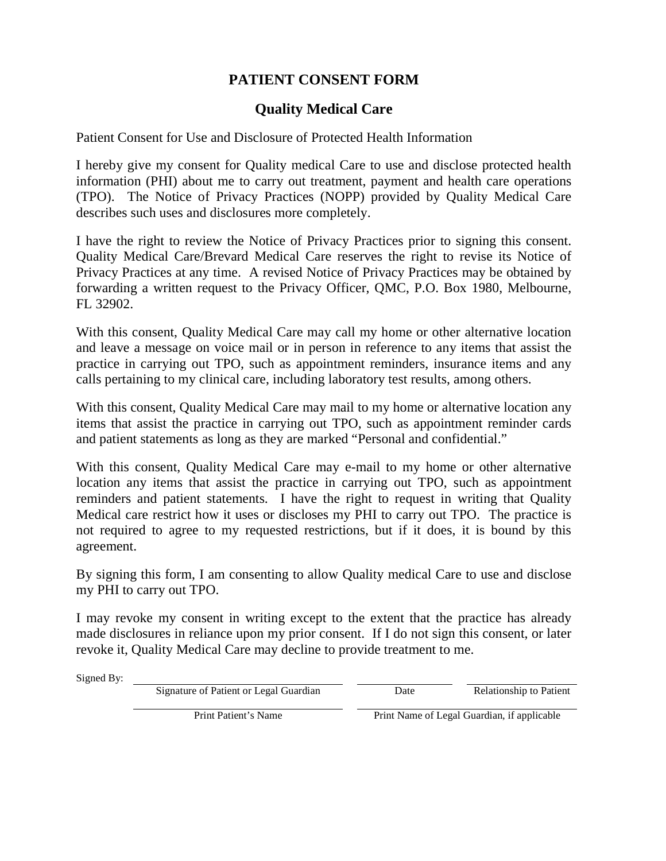### **PATIENT CONSENT FORM**

### **Quality Medical Care**

Patient Consent for Use and Disclosure of Protected Health Information

I hereby give my consent for Quality medical Care to use and disclose protected health information (PHI) about me to carry out treatment, payment and health care operations (TPO). The Notice of Privacy Practices (NOPP) provided by Quality Medical Care describes such uses and disclosures more completely.

I have the right to review the Notice of Privacy Practices prior to signing this consent. Quality Medical Care/Brevard Medical Care reserves the right to revise its Notice of Privacy Practices at any time. A revised Notice of Privacy Practices may be obtained by forwarding a written request to the Privacy Officer, QMC, P.O. Box 1980, Melbourne, FL 32902.

With this consent, Quality Medical Care may call my home or other alternative location and leave a message on voice mail or in person in reference to any items that assist the practice in carrying out TPO, such as appointment reminders, insurance items and any calls pertaining to my clinical care, including laboratory test results, among others.

With this consent, Quality Medical Care may mail to my home or alternative location any items that assist the practice in carrying out TPO, such as appointment reminder cards and patient statements as long as they are marked "Personal and confidential."

With this consent, Quality Medical Care may e-mail to my home or other alternative location any items that assist the practice in carrying out TPO, such as appointment reminders and patient statements. I have the right to request in writing that Quality Medical care restrict how it uses or discloses my PHI to carry out TPO. The practice is not required to agree to my requested restrictions, but if it does, it is bound by this agreement.

By signing this form, I am consenting to allow Quality medical Care to use and disclose my PHI to carry out TPO.

I may revoke my consent in writing except to the extent that the practice has already made disclosures in reliance upon my prior consent. If I do not sign this consent, or later revoke it, Quality Medical Care may decline to provide treatment to me.

Signed By:

Signature of Patient or Legal Guardian Date Date Relationship to Patient

Print Patient's Name **Prince Print Name of Legal Guardian**, if applicable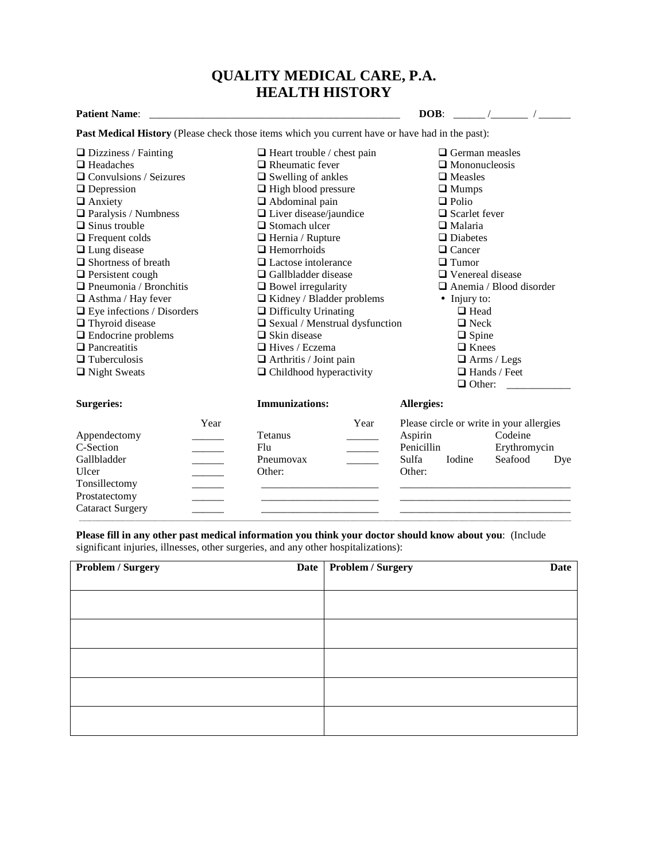#### **QUALITY MEDICAL CARE, P.A. HEALTH HISTORY**

|                                                                                                        | HEALTH HISTURY                                         |                                           |  |  |
|--------------------------------------------------------------------------------------------------------|--------------------------------------------------------|-------------------------------------------|--|--|
| <b>Patient Name:</b>                                                                                   |                                                        | DOB:<br>$\overline{a}$                    |  |  |
| <b>Past Medical History</b> (Please check those items which you current have or have had in the past): |                                                        |                                           |  |  |
| $\Box$ Dizziness / Fainting                                                                            | $\Box$ Heart trouble / chest pain                      | $\Box$ German measles                     |  |  |
| $\Box$ Headaches                                                                                       | $\Box$ Rheumatic fever                                 | $\Box$ Mononucleosis                      |  |  |
| $\Box$ Convulsions / Seizures                                                                          | $\Box$ Swelling of ankles                              | $\Box$ Measles                            |  |  |
| $\Box$ Depression                                                                                      | $\Box$ High blood pressure                             | $\Box$ Mumps                              |  |  |
| $\Box$ Anxiety                                                                                         | $\Box$ Abdominal pain                                  | $\Box$ Polio                              |  |  |
| $\Box$ Paralysis / Numbness                                                                            | $\Box$ Liver disease/jaundice                          | $\Box$ Scarlet fever                      |  |  |
| $\Box$ Sinus trouble                                                                                   | $\Box$ Stomach ulcer                                   | $\Box$ Malaria                            |  |  |
| $\Box$ Frequent colds                                                                                  | $\Box$ Hernia / Rupture                                | $\Box$ Diabetes                           |  |  |
| $\Box$ Lung disease                                                                                    | $\Box$ Hemorrhoids                                     | $\Box$ Cancer                             |  |  |
| $\Box$ Shortness of breath                                                                             | $\Box$ Lactose intolerance                             | $\Box$ Tumor                              |  |  |
| $\Box$ Persistent cough                                                                                | $\Box$ Gallbladder disease                             | $\Box$ Venereal disease                   |  |  |
| $\Box$ Pneumonia / Bronchitis                                                                          | $\Box$ Bowel irregularity                              | $\Box$ Anemia / Blood disorder            |  |  |
| $\Box$ Asthma / Hay fever                                                                              | $\Box$ Kidney / Bladder problems                       | • Injury to:                              |  |  |
| $\Box$ Eye infections / Disorders                                                                      | $\Box$ Difficulty Urinating                            | $\Box$ Head                               |  |  |
| $\Box$ Thyroid disease                                                                                 | $\hfill\blacksquare$<br>Sexual / Menstrual dysfunction | $\Box$ Neck                               |  |  |
| $\Box$ Endocrine problems                                                                              | $\Box$ Skin disease                                    | $\Box$ Spine                              |  |  |
| $\Box$ Pancreatitis                                                                                    | □ Hives / Eczema                                       | $\Box$ Knees                              |  |  |
| $\Box$ Tuberculosis                                                                                    | $\Box$ Arthritis / Joint pain                          | $\Box$ Arms / Legs                        |  |  |
| $\Box$ Night Sweats                                                                                    | $\Box$ Childhood hyperactivity                         | $\Box$ Hands / Feet                       |  |  |
|                                                                                                        |                                                        | $\Box$ Other:                             |  |  |
| <b>Surgeries:</b>                                                                                      | <b>Immunizations:</b>                                  | Allergies:                                |  |  |
| Year                                                                                                   | Year                                                   | Please circle or write in your allergies  |  |  |
| Appendectomy                                                                                           | <b>Tetanus</b>                                         | Aspirin<br>Codeine                        |  |  |
| C-Section<br><u> Liberatura de la pro</u>                                                              | Flu                                                    | Penicillin<br>Erythromycin                |  |  |
| Gallbladder<br>$\mathcal{L}^{\text{max}}_{\text{max}}$                                                 | Pneumovax                                              | Sulfa<br>Seafood<br><b>I</b> odine<br>Dye |  |  |
| Ulcer<br><b>Contract Contract</b>                                                                      | Other:                                                 | Other:                                    |  |  |
| Tonsillectomy                                                                                          |                                                        |                                           |  |  |
| Prostatectomy                                                                                          |                                                        |                                           |  |  |
| <b>Cataract Surgery</b>                                                                                |                                                        |                                           |  |  |
|                                                                                                        |                                                        |                                           |  |  |

**Please fill in any other past medical information you think your doctor should know about you**: (Include significant injuries, illnesses, other surgeries, and any other hospitalizations):

| Problem / Surgery | Date Problem / Surgery | Date |  |  |
|-------------------|------------------------|------|--|--|
|                   |                        |      |  |  |
|                   |                        |      |  |  |
|                   |                        |      |  |  |
|                   |                        |      |  |  |
|                   |                        |      |  |  |
|                   |                        |      |  |  |